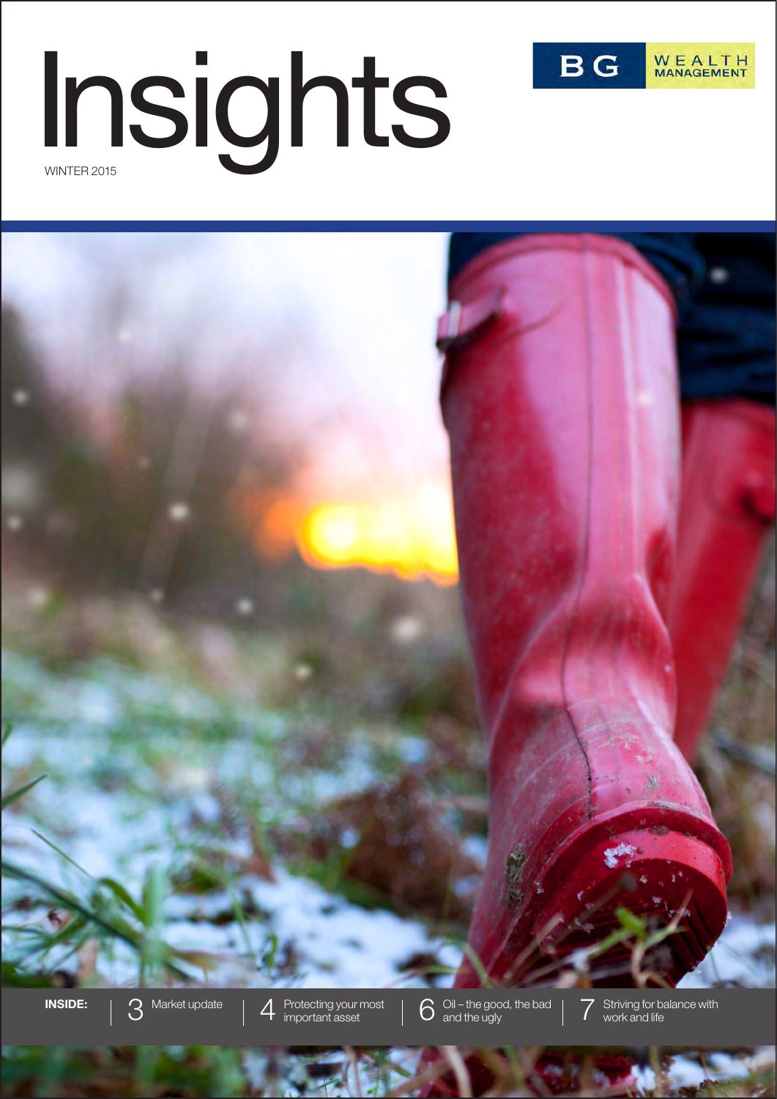

# WINTER 2015 Insights

**INSIDE:** 3 Market update 4 Protecting your most<br>  $\frac{1}{3}$  Market update 4 Protecting your most Protecting your most  $\bigcup_{i=1}^{\infty}$  Oil – the good, the bad  $\bigcap_{i=1}^{\infty}$  Striving for balance with important asset work and life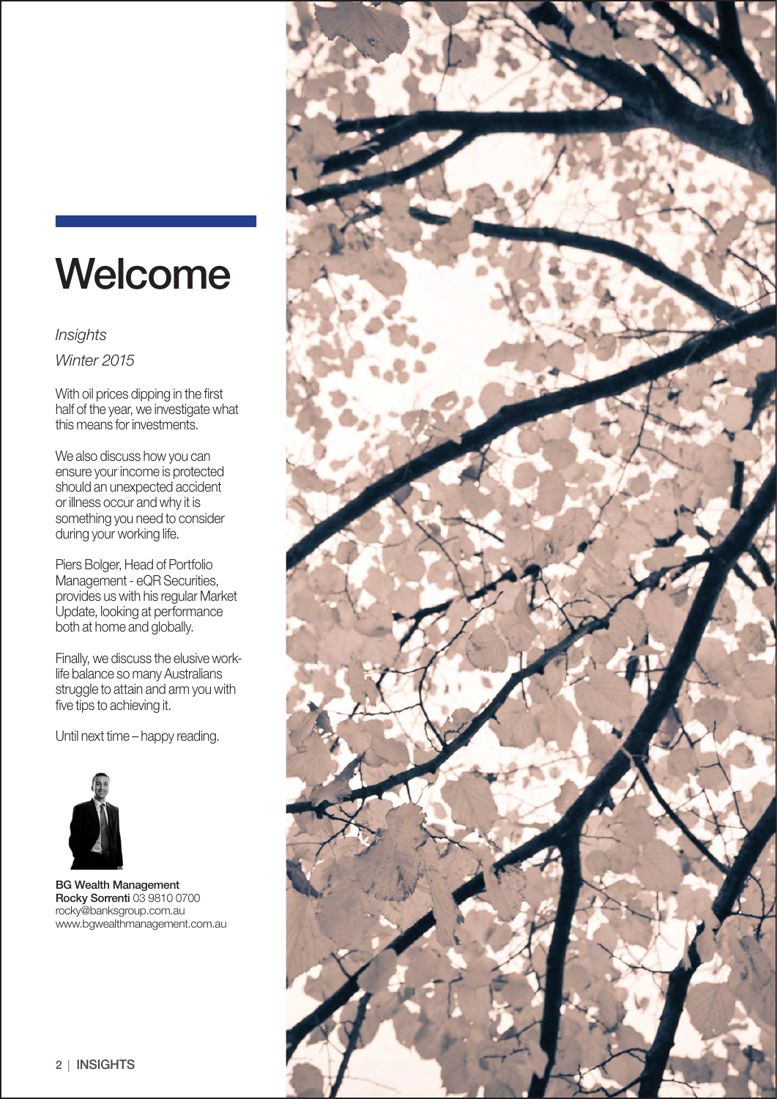# Welcome

*Winter 2015 Insights*

With oil prices dipping in the first half of the year, we investigate what this means for investments.

We also discuss how you can ensure your income is protected should an unexpected accident or illness occur and why it is something you need to consider during your working life.

Piers Bolger, Head of Portfolio Management - eQR Securities, provides us with his regular Market Update, looking at performance both at home and globally.

Finally, we discuss the elusive worklife balance so many Australians struggle to attain and arm you with five tips to achieving it.

Until next time – happy reading.



BG Wealth Management Rocky Sorrenti 03 9810 0700 rocky@banksgroup.com.au www.bgwealthmanagement.com.au

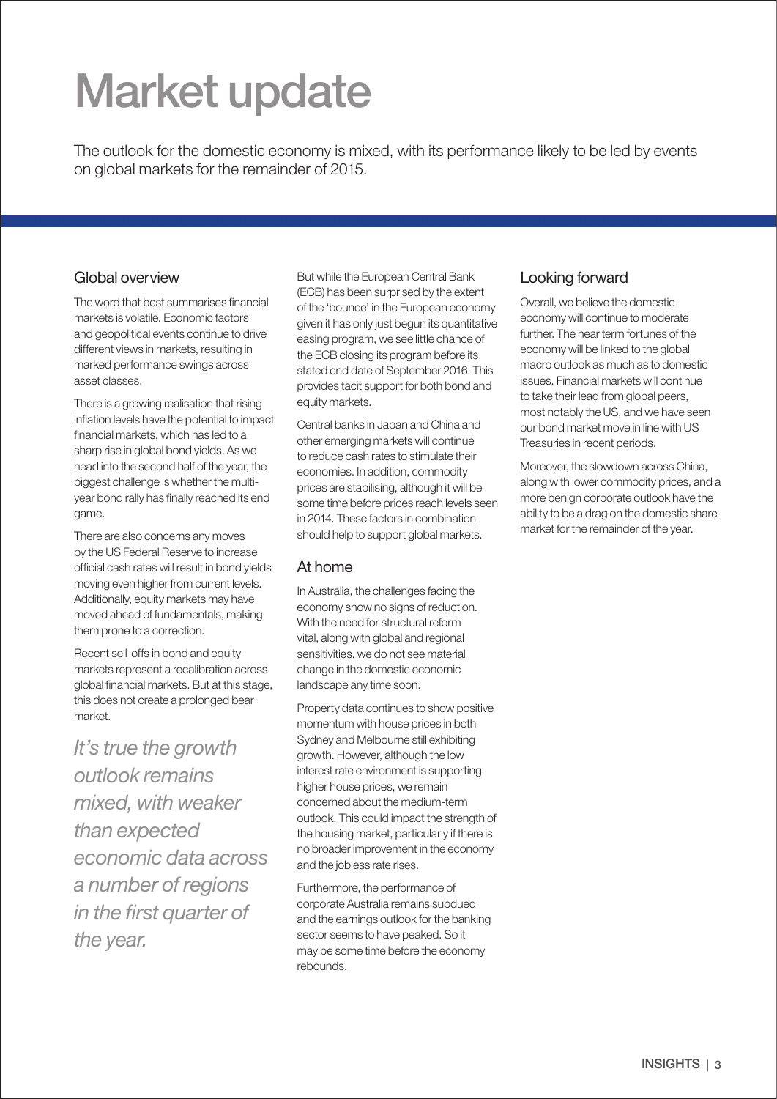# Market update

The outlook for the domestic economy is mixed, with its performance likely to be led by events on global markets for the remainder of 2015.

#### Global overview

The word that best summarises financial markets is volatile. Economic factors and geopolitical events continue to drive different views in markets, resulting in marked performance swings across asset classes.

There is a growing realisation that rising inflation levels have the potential to impact financial markets, which has led to a sharp rise in global bond yields. As we head into the second half of the year, the biggest challenge is whether the multiyear bond rally has finally reached its end game.

There are also concerns any moves by the US Federal Reserve to increase official cash rates will result in bond yields moving even higher from current levels. Additionally, equity markets may have moved ahead of fundamentals, making them prone to a correction.

Recent sell-offs in bond and equity markets represent a recalibration across global financial markets. But at this stage, this does not create a prolonged bear market.

*It's true the growth outlook remains mixed, with weaker than expected economic data across a number of regions in the first quarter of the year.*

But while the European Central Bank (ECB) has been surprised by the extent of the 'bounce' in the European economy given it has only just begun its quantitative easing program, we see little chance of the ECB closing its program before its stated end date of September 2016. This provides tacit support for both bond and equity markets.

Central banks in Japan and China and other emerging markets will continue to reduce cash rates to stimulate their economies. In addition, commodity prices are stabilising, although it will be some time before prices reach levels seen in 2014. These factors in combination should help to support global markets.

#### At home

In Australia, the challenges facing the economy show no signs of reduction. With the need for structural reform vital, along with global and regional sensitivities, we do not see material change in the domestic economic landscape any time soon.

Property data continues to show positive momentum with house prices in both Sydney and Melbourne still exhibiting growth. However, although the low interest rate environment is supporting higher house prices, we remain concerned about the medium-term outlook. This could impact the strength of the housing market, particularly if there is no broader improvement in the economy and the jobless rate rises.

Furthermore, the performance of corporate Australia remains subdued and the earnings outlook for the banking sector seems to have peaked. So it may be some time before the economy rebounds.

#### Looking forward

Overall, we believe the domestic economy will continue to moderate further. The near term fortunes of the economy will be linked to the global macro outlook as much as to domestic issues. Financial markets will continue to take their lead from global peers. most notably the US, and we have seen our bond market move in line with US Treasuries in recent periods.

Moreover, the slowdown across China, along with lower commodity prices, and a more benign corporate outlook have the ability to be a drag on the domestic share market for the remainder of the year.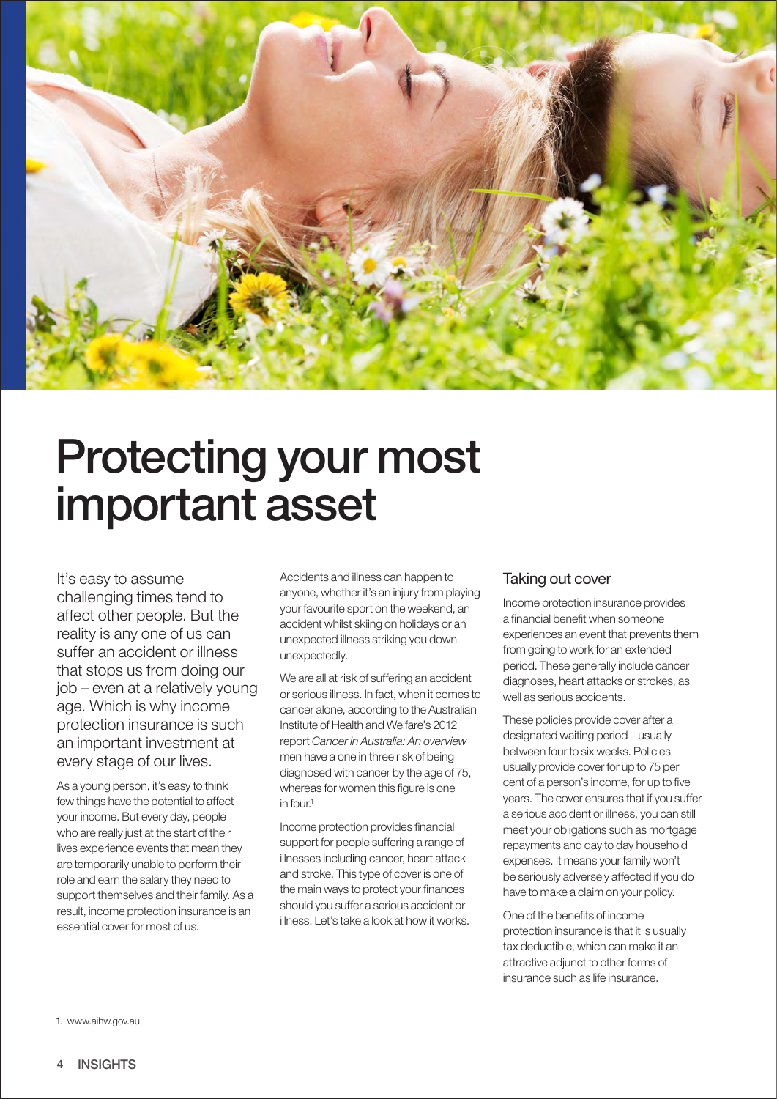

# Protecting your most important asset

It's easy to assume challenging times tend to affect other people. But the reality is any one of us can suffer an accident or illness that stops us from doing our job – even at a relatively young age. Which is why income protection insurance is such an important investment at every stage of our lives.

As a young person, it's easy to think few things have the potential to affect your income. But every day, people who are really just at the start of their lives experience events that mean they are temporarily unable to perform their role and earn the salary they need to support themselves and their family. As a result, income protection insurance is an essential cover for most of us.

Accidents and illness can happen to anyone, whether it's an injury from playing your favourite sport on the weekend, an accident whilst skiing on holidays or an unexpected illness striking you down unexpectedly.

We are all at risk of suffering an accident or serious illness. In fact, when it comes to cancer alone, according to the Australian Institute of Health and Welfare's 2012 report *Cancer in Australia: An overview* men have a one in three risk of being diagnosed with cancer by the age of 75, whereas for women this figure is one in four.<sup>1</sup>

Income protection provides financial support for people suffering a range of illnesses including cancer, heart attack and stroke. This type of cover is one of the main ways to protect your finances should you suffer a serious accident or illness. Let's take a look at how it works.

#### Taking out cover

Income protection insurance provides a financial benefit when someone experiences an event that prevents them from going to work for an extended period. These generally include cancer diagnoses, heart attacks or strokes, as well as serious accidents.

These policies provide cover after a designated waiting period – usually between four to six weeks. Policies usually provide cover for up to 75 per cent of a person's income, for up to five years. The cover ensures that if you suffer a serious accident or illness, you can still meet your obligations such as mortgage repayments and day to day household expenses. It means your family won't be seriously adversely affected if you do have to make a claim on your policy.

One of the benefits of income protection insurance is that it is usually tax deductible, which can make it an attractive adjunct to other forms of insurance such as life insurance.

1. www.aihw.gov.au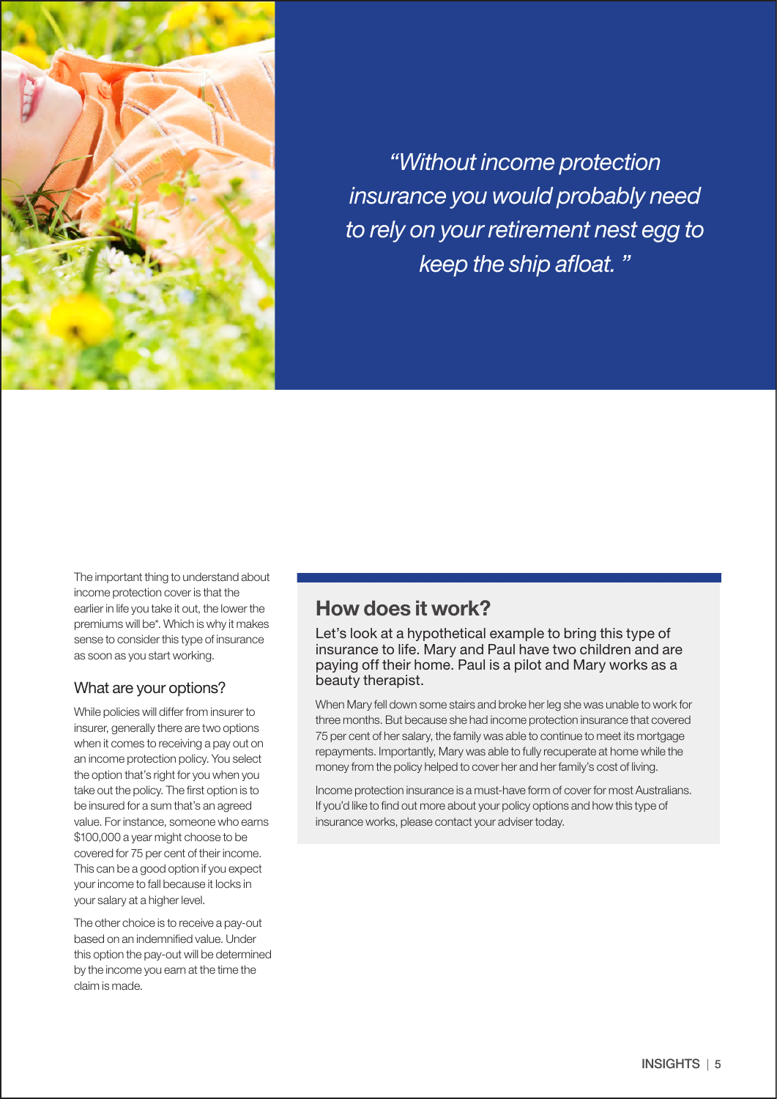

*"Without income protection insurance you would probably need to rely on your retirement nest egg to keep the ship afloat. "*

The important thing to understand about income protection cover is that the earlier in life you take it out, the lower the premiums will be\*. Which is why it makes sense to consider this type of insurance as soon as you start working.

#### What are your options?

While policies will differ from insurer to insurer, generally there are two options when it comes to receiving a pay out on an income protection policy. You select the option that's right for you when you take out the policy. The first option is to be insured for a sum that's an agreed value. For instance, someone who earns \$100,000 a year might choose to be covered for 75 per cent of their income. This can be a good option if you expect your income to fall because it locks in your salary at a higher level.

The other choice is to receive a pay-out based on an indemnified value. Under this option the pay-out will be determined by the income you earn at the time the claim is made.

#### How does it work?

Let's look at a hypothetical example to bring this type of insurance to life. Mary and Paul have two children and are paying off their home. Paul is a pilot and Mary works as a beauty therapist.

When Mary fell down some stairs and broke her leg she was unable to work for three months. But because she had income protection insurance that covered 75 per cent of her salary, the family was able to continue to meet its mortgage repayments. Importantly, Mary was able to fully recuperate at home while the money from the policy helped to cover her and her family's cost of living.

Income protection insurance is a must-have form of cover for most Australians. If you'd like to find out more about your policy options and how this type of insurance works, please contact your adviser today.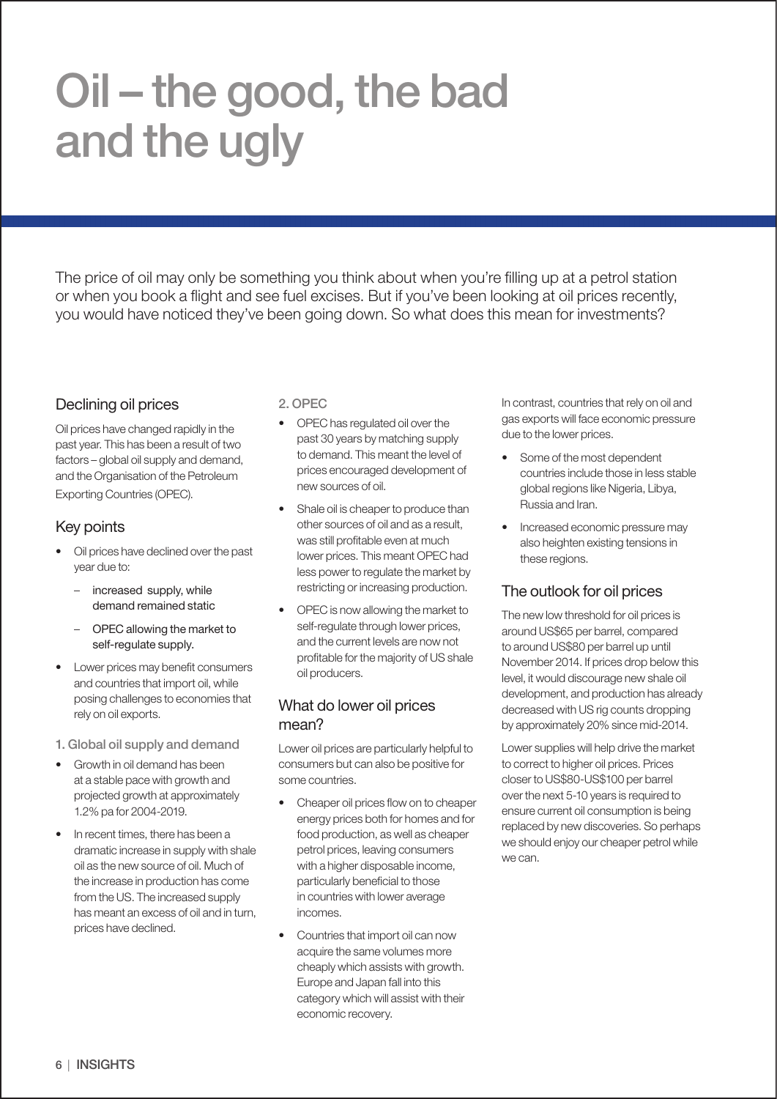# Oil – the good, the bad and the ugly

The price of oil may only be something you think about when you're filling up at a petrol station or when you book a flight and see fuel excises. But if you've been looking at oil prices recently, you would have noticed they've been going down. So what does this mean for investments?

#### Declining oil prices

Oil prices have changed rapidly in the past year. This has been a result of two factors – global oil supply and demand, and the Organisation of the Petroleum Exporting Countries (OPEC).

#### Key points

- Oil prices have declined over the past year due to:
	- increased supply, while demand remained static
	- OPEC allowing the market to self-regulate supply.
- Lower prices may benefit consumers and countries that import oil, while posing challenges to economies that rely on oil exports.
- 1. Global oil supply and demand
- Growth in oil demand has been at a stable pace with growth and projected growth at approximately 1.2% pa for 2004-2019.
- In recent times, there has been a dramatic increase in supply with shale oil as the new source of oil. Much of the increase in production has come from the US. The increased supply has meant an excess of oil and in turn, prices have declined.

2. OPEC

- OPEC has regulated oil over the past 30 years by matching supply to demand. This meant the level of prices encouraged development of new sources of oil.
- Shale oil is cheaper to produce than other sources of oil and as a result, was still profitable even at much lower prices. This meant OPEC had less power to regulate the market by restricting or increasing production.
- OPEC is now allowing the market to self-regulate through lower prices, and the current levels are now not profitable for the majority of US shale oil producers.

#### What do lower oil prices mean?

Lower oil prices are particularly helpful to consumers but can also be positive for some countries.

- Cheaper oil prices flow on to cheaper energy prices both for homes and for food production, as well as cheaper petrol prices, leaving consumers with a higher disposable income, particularly beneficial to those in countries with lower average incomes.
- Countries that import oil can now acquire the same volumes more cheaply which assists with growth. Europe and Japan fall into this category which will assist with their economic recovery.

In contrast, countries that rely on oil and gas exports will face economic pressure due to the lower prices.

- Some of the most dependent countries include those in less stable global regions like Nigeria, Libya, Russia and Iran.
- Increased economic pressure may also heighten existing tensions in these regions.

#### The outlook for oil prices

The new low threshold for oil prices is around US\$65 per barrel, compared to around US\$80 per barrel up until November 2014. If prices drop below this level, it would discourage new shale oil development, and production has already decreased with US rig counts dropping by approximately 20% since mid-2014.

Lower supplies will help drive the market to correct to higher oil prices. Prices closer to US\$80-US\$100 per barrel over the next 5-10 years is required to ensure current oil consumption is being replaced by new discoveries. So perhaps we should enjoy our cheaper petrol while we can.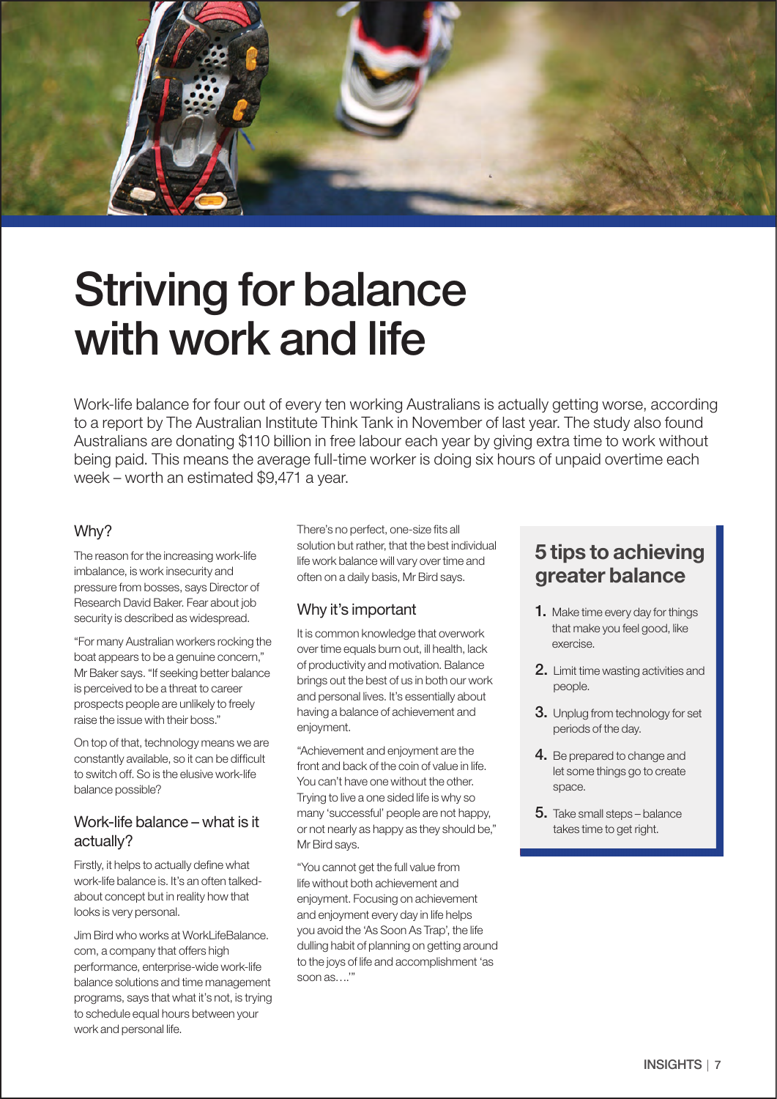

# Striving for balance with work and life

Work-life balance for four out of every ten working Australians is actually getting worse, according to a report by The Australian Institute Think Tank in November of last year. The study also found Australians are donating \$110 billion in free labour each year by giving extra time to work without being paid. This means the average full-time worker is doing six hours of unpaid overtime each week – worth an estimated \$9,471 a year.

#### Why?

The reason for the increasing work-life imbalance, is work insecurity and pressure from bosses, says Director of Research David Baker. Fear about job security is described as widespread.

"For many Australian workers rocking the boat appears to be a genuine concern," Mr Baker says. "If seeking better balance is perceived to be a threat to career prospects people are unlikely to freely raise the issue with their boss."

On top of that, technology means we are constantly available, so it can be difficult to switch off. So is the elusive work-life balance possible?

#### Work-life balance – what is it actually?

Firstly, it helps to actually define what work-life balance is. It's an often talkedabout concept but in reality how that looks is very personal.

Jim Bird who works at WorkLifeBalance. com, a company that offers high performance, enterprise-wide work-life balance solutions and time management programs, says that what it's not, is trying to schedule equal hours between your work and personal life.

There's no perfect, one-size fits all solution but rather, that the best individual life work balance will vary over time and often on a daily basis, Mr Bird says.

#### Why it's important

It is common knowledge that overwork over time equals burn out, ill health, lack of productivity and motivation. Balance brings out the best of us in both our work and personal lives. It's essentially about having a balance of achievement and enjoyment.

"Achievement and enjoyment are the front and back of the coin of value in life. You can't have one without the other. Trying to live a one sided life is why so many 'successful' people are not happy, or not nearly as happy as they should be," Mr Bird says.

"You cannot get the full value from life without both achievement and enjoyment. Focusing on achievement and enjoyment every day in life helps you avoid the 'As Soon As Trap', the life dulling habit of planning on getting around to the joys of life and accomplishment 'as soon as….'"

#### 5 tips to achieving greater balance

- **1.** Make time every day for things that make you feel good, like exercise.
- 2. Limit time wasting activities and people.
- 3. Unplug from technology for set periods of the day.
- 4. Be prepared to change and let some things go to create space.
- 5. Take small steps balance takes time to get right.